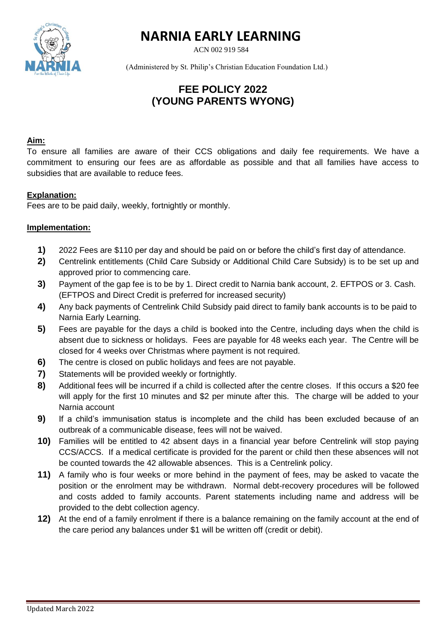

# **NARNIA EARLY LEARNING**

ACN 002 919 584

(Administered by St. Philip's Christian Education Foundation Ltd.)

# **FEE POLICY 2022 (YOUNG PARENTS WYONG)**

#### **Aim:**

To ensure all families are aware of their CCS obligations and daily fee requirements. We have a commitment to ensuring our fees are as affordable as possible and that all families have access to subsidies that are available to reduce fees.

## **Explanation:**

Fees are to be paid daily, weekly, fortnightly or monthly.

## **Implementation:**

- **1)** 2022 Fees are \$110 per day and should be paid on or before the child's first day of attendance.
- **2)** Centrelink entitlements (Child Care Subsidy or Additional Child Care Subsidy) is to be set up and approved prior to commencing care.
- **3)** Payment of the gap fee is to be by 1. Direct credit to Narnia bank account, 2. EFTPOS or 3. Cash. (EFTPOS and Direct Credit is preferred for increased security)
- **4)** Any back payments of Centrelink Child Subsidy paid direct to family bank accounts is to be paid to Narnia Early Learning.
- **5)** Fees are payable for the days a child is booked into the Centre, including days when the child is absent due to sickness or holidays. Fees are payable for 48 weeks each year. The Centre will be closed for 4 weeks over Christmas where payment is not required.
- **6)** The centre is closed on public holidays and fees are not payable.
- **7)** Statements will be provided weekly or fortnightly.
- **8)** Additional fees will be incurred if a child is collected after the centre closes. If this occurs a \$20 fee will apply for the first 10 minutes and \$2 per minute after this. The charge will be added to your Narnia account
- **9)** If a child's immunisation status is incomplete and the child has been excluded because of an outbreak of a communicable disease, fees will not be waived.
- **10)** Families will be entitled to 42 absent days in a financial year before Centrelink will stop paying CCS/ACCS. If a medical certificate is provided for the parent or child then these absences will not be counted towards the 42 allowable absences. This is a Centrelink policy.
- **11)** A family who is four weeks or more behind in the payment of fees, may be asked to vacate the position or the enrolment may be withdrawn. Normal debt-recovery procedures will be followed and costs added to family accounts. Parent statements including name and address will be provided to the debt collection agency.
- **12)** At the end of a family enrolment if there is a balance remaining on the family account at the end of the care period any balances under \$1 will be written off (credit or debit).